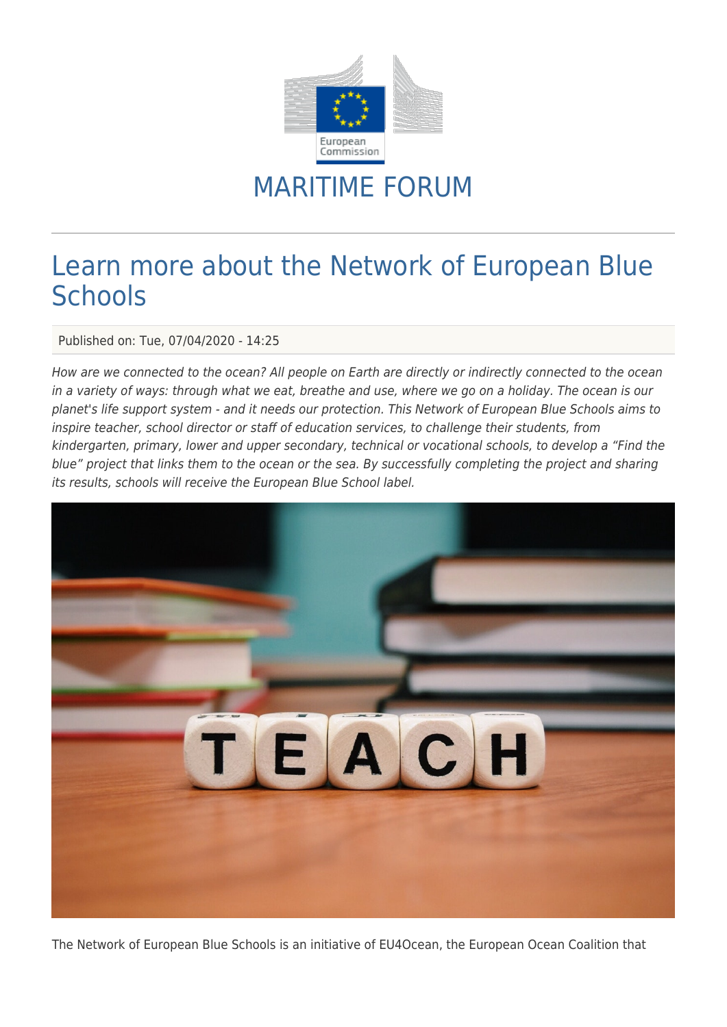

## MARITIME FORUM

## Learn more about the Network of European Blue **Schools**

Published on: Tue, 07/04/2020 - 14:25

How are we connected to the ocean? All people on Earth are directly or indirectly connected to the ocean in a variety of ways: through what we eat, breathe and use, where we go on a holiday. The ocean is our planet's life support system - and it needs our protection. This Network of European Blue Schools aims to inspire teacher, school director or staff of education services, to challenge their students, from kindergarten, primary, lower and upper secondary, technical or vocational schools, to develop a "Find the blue" project that links them to the ocean or the sea. By successfully completing the project and sharing its results, schools will receive the European Blue School label.



The Network of European Blue Schools is an initiative of EU4Ocean, the European Ocean Coalition that